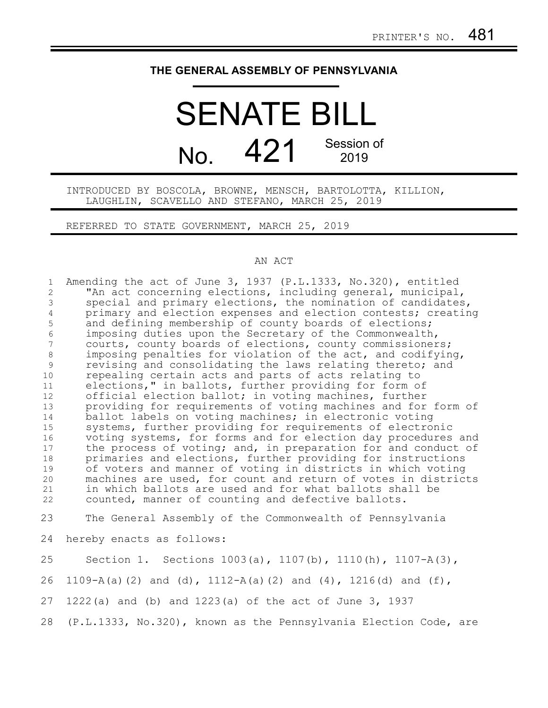## **THE GENERAL ASSEMBLY OF PENNSYLVANIA**

## SENATE BILL  $N<sub>0</sub>$  421 Session of 2019

INTRODUCED BY BOSCOLA, BROWNE, MENSCH, BARTOLOTTA, KILLION, LAUGHLIN, SCAVELLO AND STEFANO, MARCH 25, 2019

REFERRED TO STATE GOVERNMENT, MARCH 25, 2019

## AN ACT

Amending the act of June 3, 1937 (P.L.1333, No.320), entitled "An act concerning elections, including general, municipal, special and primary elections, the nomination of candidates, primary and election expenses and election contests; creating and defining membership of county boards of elections; imposing duties upon the Secretary of the Commonwealth, courts, county boards of elections, county commissioners; imposing penalties for violation of the act, and codifying, revising and consolidating the laws relating thereto; and repealing certain acts and parts of acts relating to elections," in ballots, further providing for form of official election ballot; in voting machines, further providing for requirements of voting machines and for form of ballot labels on voting machines; in electronic voting systems, further providing for requirements of electronic voting systems, for forms and for election day procedures and the process of voting; and, in preparation for and conduct of primaries and elections, further providing for instructions of voters and manner of voting in districts in which voting machines are used, for count and return of votes in districts in which ballots are used and for what ballots shall be counted, manner of counting and defective ballots. The General Assembly of the Commonwealth of Pennsylvania 1 2 3 4 5 6 7 8 9 10 11 12 13 14 15 16 17 18 19 20 21 22 23

hereby enacts as follows: 24

Section 1. Sections 1003(a), 1107(b), 1110(h), 1107-A(3), 1109-A(a)(2) and (d), 1112-A(a)(2) and (4), 1216(d) and (f), 1222(a) and (b) and 1223(a) of the act of June 3, 1937 (P.L.1333, No.320), known as the Pennsylvania Election Code, are 25 26 27 28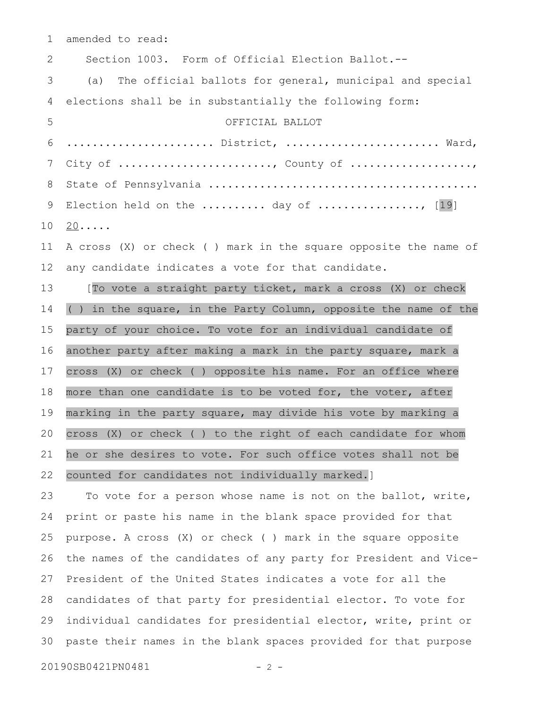amended to read: 1

Section 1003. Form of Official Election Ballot.-- (a) The official ballots for general, municipal and special elections shall be in substantially the following form: OFFICIAL BALLOT ....................... District, ........................ Ward, City of  $\dots\dots\dots\dots\dots\dots\dots\dots\dots$ , County of  $\dots\dots\dots\dots\dots\dots\dots$ State of Pennsylvania .......................................... Election held on the .......... day of  $\ldots$ ............., [19]  $20 \ldots$ A cross (X) or check ( ) mark in the square opposite the name of any candidate indicates a vote for that candidate. [To vote a straight party ticket, mark a cross (X) or check ( ) in the square, in the Party Column, opposite the name of the party of your choice. To vote for an individual candidate of another party after making a mark in the party square, mark a cross (X) or check ( ) opposite his name. For an office where more than one candidate is to be voted for, the voter, after marking in the party square, may divide his vote by marking a cross (X) or check ( ) to the right of each candidate for whom he or she desires to vote. For such office votes shall not be 2 3 4 5 6 7 8 9 10 11 12 13 14 15 16 17 18 19 20 21

## counted for candidates not individually marked.] 22

To vote for a person whose name is not on the ballot, write, print or paste his name in the blank space provided for that purpose. A cross (X) or check ( ) mark in the square opposite the names of the candidates of any party for President and Vice-President of the United States indicates a vote for all the candidates of that party for presidential elector. To vote for individual candidates for presidential elector, write, print or paste their names in the blank spaces provided for that purpose 23 24 25 26 27 28 29 30

20190SB0421PN0481 - 2 -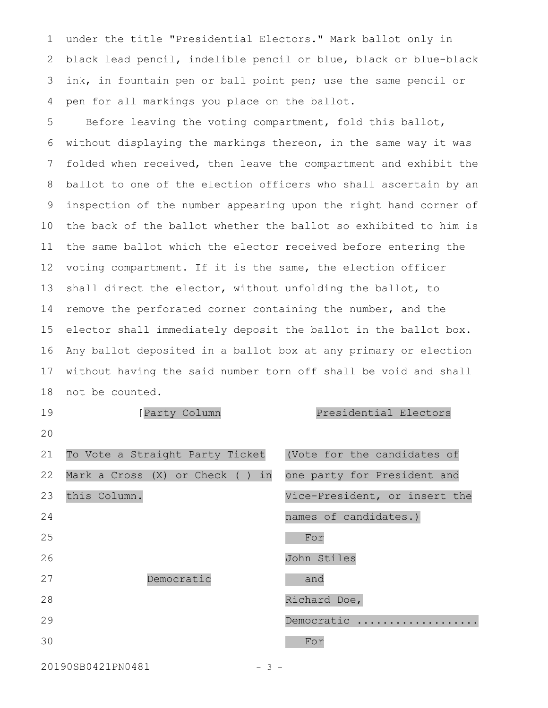under the title "Presidential Electors." Mark ballot only in black lead pencil, indelible pencil or blue, black or blue-black ink, in fountain pen or ball point pen; use the same pencil or pen for all markings you place on the ballot. 1 2 3 4

Before leaving the voting compartment, fold this ballot, without displaying the markings thereon, in the same way it was folded when received, then leave the compartment and exhibit the ballot to one of the election officers who shall ascertain by an inspection of the number appearing upon the right hand corner of the back of the ballot whether the ballot so exhibited to him is the same ballot which the elector received before entering the voting compartment. If it is the same, the election officer shall direct the elector, without unfolding the ballot, to remove the perforated corner containing the number, and the elector shall immediately deposit the ballot in the ballot box. Any ballot deposited in a ballot box at any primary or election without having the said number torn off shall be void and shall not be counted. 5 6 7 8 9 10 11 12 13 14 15 16 17 18

[Party Column Presidential Electors To Vote a Straight Party Ticket Mark a Cross (X) or Check ( ) in this Column. (Vote for the candidates of one party for President and Vice-President, or insert the names of candidates.) Democratic For John Stiles and Richard Doe, Democratic .................. For 19 20 21 22 23 24 25 26 27 28 29 30

20190SB0421PN0481 - 3 -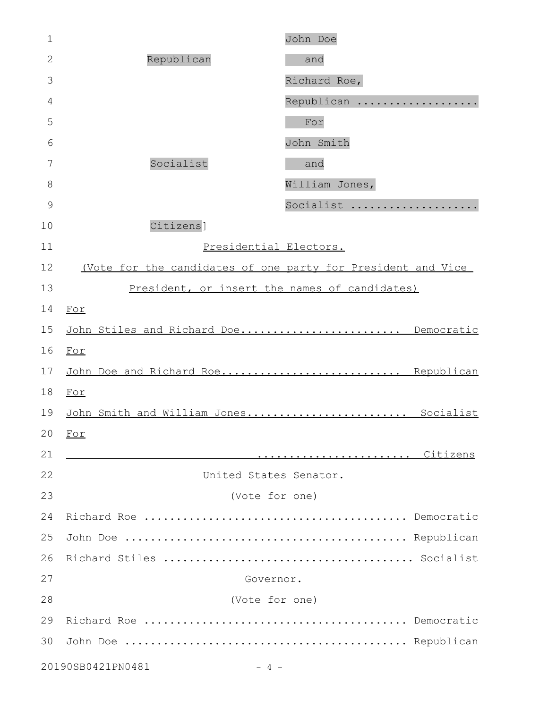| $\mathbf 1$                 |                                                              | John Doe       |  |
|-----------------------------|--------------------------------------------------------------|----------------|--|
| $\overline{2}$              | Republican                                                   | and            |  |
| 3                           |                                                              | Richard Roe,   |  |
| 4                           |                                                              | Republican     |  |
| 5                           |                                                              | For            |  |
| 6                           |                                                              | John Smith     |  |
| 7                           | Socialist                                                    | and            |  |
| 8                           |                                                              | William Jones, |  |
| 9                           |                                                              | Socialist      |  |
| 10                          | Citizens]                                                    |                |  |
| 11                          | Presidential Electors.                                       |                |  |
| 12                          | (Vote for the candidates of one party for President and Vice |                |  |
| 13                          | President, or insert the names of candidates)                |                |  |
| 14                          | For                                                          |                |  |
| 15                          | John Stiles and Richard Doe Democratic                       |                |  |
| 16                          | For                                                          |                |  |
| 17                          | John Doe and Richard Roe Republican                          |                |  |
| 18                          | For                                                          |                |  |
| 19                          | John Smith and William Jones Socialist                       |                |  |
|                             | $20$ For                                                     |                |  |
| 21                          |                                                              |                |  |
| 22                          | United States Senator.                                       |                |  |
| 23                          | (Vote for one)                                               |                |  |
| 24                          |                                                              |                |  |
| 25                          |                                                              |                |  |
| 26                          |                                                              |                |  |
| 27                          | Governor.                                                    |                |  |
| 28                          | (Vote for one)                                               |                |  |
| 29                          |                                                              |                |  |
| 30                          |                                                              |                |  |
| 20190SB0421PN0481<br>$-4$ - |                                                              |                |  |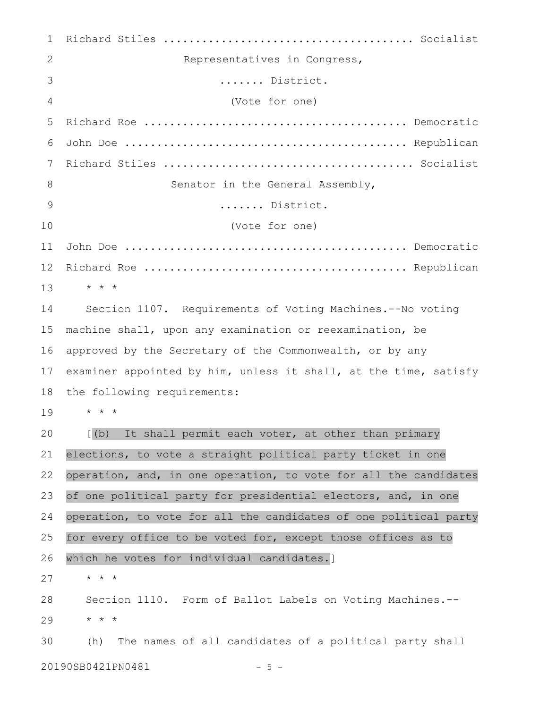| 1              |                                                                  |  |
|----------------|------------------------------------------------------------------|--|
| 2              | Representatives in Congress,                                     |  |
| 3              | District.                                                        |  |
| $\overline{4}$ | (Vote for one)                                                   |  |
| 5              |                                                                  |  |
| 6              |                                                                  |  |
| 7              |                                                                  |  |
| 8              | Senator in the General Assembly,                                 |  |
| 9              | District.                                                        |  |
| 10             | (Vote for one)                                                   |  |
| 11             |                                                                  |  |
| 12             |                                                                  |  |
| 13             | $\star$ $\star$ $\star$                                          |  |
| 14             | Section 1107. Requirements of Voting Machines.--No voting        |  |
| 15             | machine shall, upon any examination or reexamination, be         |  |
| 16             | approved by the Secretary of the Commonwealth, or by any         |  |
| 17             | examiner appointed by him, unless it shall, at the time, satisfy |  |
| 18             | the following requirements:                                      |  |
| 19             | * * *                                                            |  |
| 20             | [(b) It shall permit each voter, at other than primary           |  |
| 21             | elections, to vote a straight political party ticket in one      |  |
| 22             | operation, and, in one operation, to vote for all the candidates |  |
| 23             | of one political party for presidential electors, and, in one    |  |
| 24             | operation, to vote for all the candidates of one political party |  |
| 25             | for every office to be voted for, except those offices as to     |  |
| 26             | which he votes for individual candidates.]                       |  |
| 27             | $\star$ $\star$ $\star$                                          |  |
| 28             | Section 1110. Form of Ballot Labels on Voting Machines.--        |  |
| 29             | $\star$ $\star$ $\star$                                          |  |
| 30             | The names of all candidates of a political party shall<br>(h)    |  |

20190SB0421PN0481 - 5 -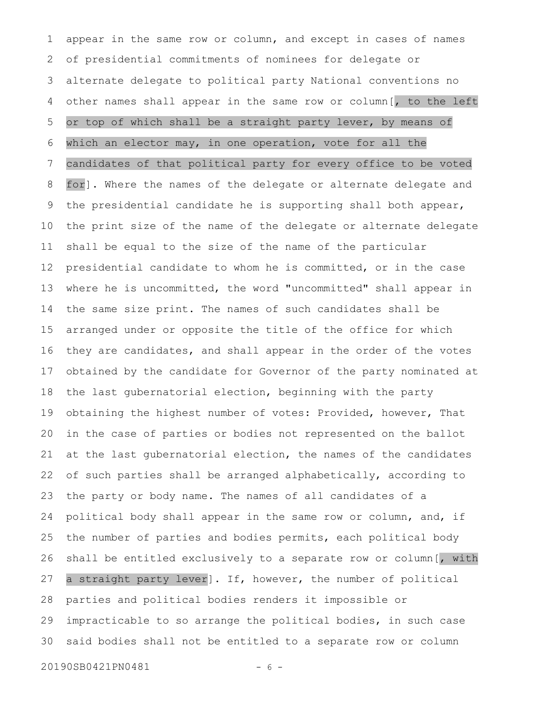appear in the same row or column, and except in cases of names of presidential commitments of nominees for delegate or alternate delegate to political party National conventions no other names shall appear in the same row or column[, to the left or top of which shall be a straight party lever, by means of which an elector may, in one operation, vote for all the candidates of that political party for every office to be voted for]. Where the names of the delegate or alternate delegate and the presidential candidate he is supporting shall both appear, the print size of the name of the delegate or alternate delegate shall be equal to the size of the name of the particular presidential candidate to whom he is committed, or in the case where he is uncommitted, the word "uncommitted" shall appear in the same size print. The names of such candidates shall be arranged under or opposite the title of the office for which they are candidates, and shall appear in the order of the votes obtained by the candidate for Governor of the party nominated at the last gubernatorial election, beginning with the party obtaining the highest number of votes: Provided, however, That in the case of parties or bodies not represented on the ballot at the last gubernatorial election, the names of the candidates of such parties shall be arranged alphabetically, according to the party or body name. The names of all candidates of a political body shall appear in the same row or column, and, if the number of parties and bodies permits, each political body shall be entitled exclusively to a separate row or column[, with a straight party lever]. If, however, the number of political parties and political bodies renders it impossible or impracticable to so arrange the political bodies, in such case said bodies shall not be entitled to a separate row or column 20190SB0421PN0481 - 6 -1 2 3 4 5 6 7 8 9 10 11 12 13 14 15 16 17 18 19 20 21 22 23 24 25 26 27 28 29 30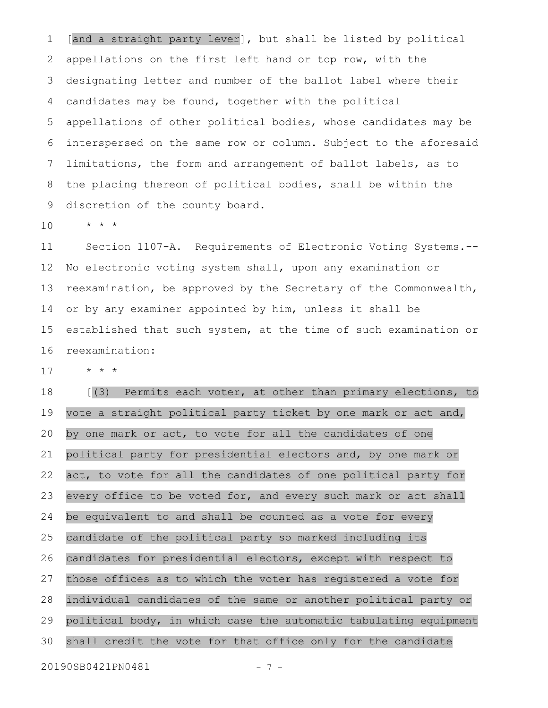[and a straight party lever], but shall be listed by political appellations on the first left hand or top row, with the designating letter and number of the ballot label where their candidates may be found, together with the political appellations of other political bodies, whose candidates may be interspersed on the same row or column. Subject to the aforesaid limitations, the form and arrangement of ballot labels, as to the placing thereon of political bodies, shall be within the discretion of the county board. 1 2 3 4 5 6 7 8 9

\* \* \* 10

Section 1107-A. Requirements of Electronic Voting Systems.-- No electronic voting system shall, upon any examination or reexamination, be approved by the Secretary of the Commonwealth, or by any examiner appointed by him, unless it shall be established that such system, at the time of such examination or reexamination: 11 12 13 14 15 16

\* \* \* 17

[(3) Permits each voter, at other than primary elections, to vote a straight political party ticket by one mark or act and, by one mark or act, to vote for all the candidates of one political party for presidential electors and, by one mark or act, to vote for all the candidates of one political party for every office to be voted for, and every such mark or act shall be equivalent to and shall be counted as a vote for every candidate of the political party so marked including its candidates for presidential electors, except with respect to those offices as to which the voter has registered a vote for individual candidates of the same or another political party or political body, in which case the automatic tabulating equipment shall credit the vote for that office only for the candidate 20190SB0421PN0481 - 7 -18 19 20 21 22 23 24 25 26 27 28 29 30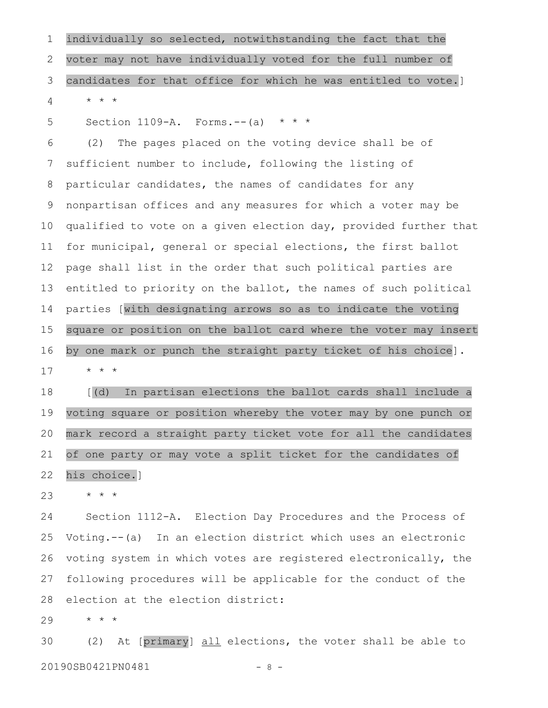individually so selected, notwithstanding the fact that the voter may not have individually voted for the full number of candidates for that office for which he was entitled to vote.]  $\star$   $\hspace{0.1cm} \star$   $\hspace{0.1cm} \star$ 1 2 3 4

Section 1109-A. Forms.--(a)  $* * *$ 5

(2) The pages placed on the voting device shall be of sufficient number to include, following the listing of particular candidates, the names of candidates for any nonpartisan offices and any measures for which a voter may be qualified to vote on a given election day, provided further that for municipal, general or special elections, the first ballot page shall list in the order that such political parties are entitled to priority on the ballot, the names of such political parties [with designating arrows so as to indicate the voting square or position on the ballot card where the voter may insert by one mark or punch the straight party ticket of his choice]. \* \* \* 6 7 8 9 10 11 12 13 14 15 16 17

[(d) In partisan elections the ballot cards shall include a voting square or position whereby the voter may by one punch or mark record a straight party ticket vote for all the candidates of one party or may vote a split ticket for the candidates of his choice.] 18 19 20 21 22

\* \* \* 23

Section 1112-A. Election Day Procedures and the Process of Voting.--(a) In an election district which uses an electronic voting system in which votes are registered electronically, the following procedures will be applicable for the conduct of the election at the election district: 24 25 26 27 28

\* \* \* 29

(2) At [primary] all elections, the voter shall be able to 20190SB0421PN0481 - 8 -30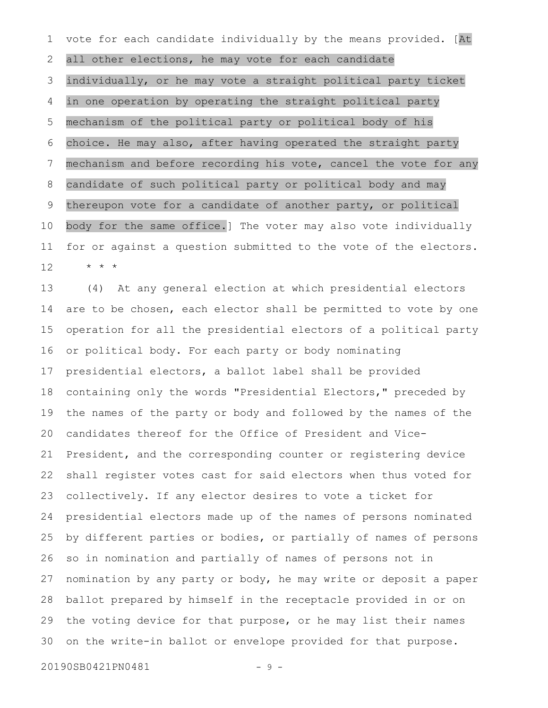vote for each candidate individually by the means provided. [At all other elections, he may vote for each candidate individually, or he may vote a straight political party ticket in one operation by operating the straight political party mechanism of the political party or political body of his choice. He may also, after having operated the straight party mechanism and before recording his vote, cancel the vote for any candidate of such political party or political body and may thereupon vote for a candidate of another party, or political body for the same office.] The voter may also vote individually for or against a question submitted to the vote of the electors. \* \* \* 1 2 3 4 5 6 7 8 9 10 11 12

(4) At any general election at which presidential electors are to be chosen, each elector shall be permitted to vote by one operation for all the presidential electors of a political party or political body. For each party or body nominating presidential electors, a ballot label shall be provided containing only the words "Presidential Electors," preceded by the names of the party or body and followed by the names of the candidates thereof for the Office of President and Vice-President, and the corresponding counter or registering device shall register votes cast for said electors when thus voted for collectively. If any elector desires to vote a ticket for presidential electors made up of the names of persons nominated by different parties or bodies, or partially of names of persons so in nomination and partially of names of persons not in nomination by any party or body, he may write or deposit a paper ballot prepared by himself in the receptacle provided in or on the voting device for that purpose, or he may list their names on the write-in ballot or envelope provided for that purpose. 13 14 15 16 17 18 19 20 21 22 23 24 25 26 27 28 29 30

20190SB0421PN0481 - 9 -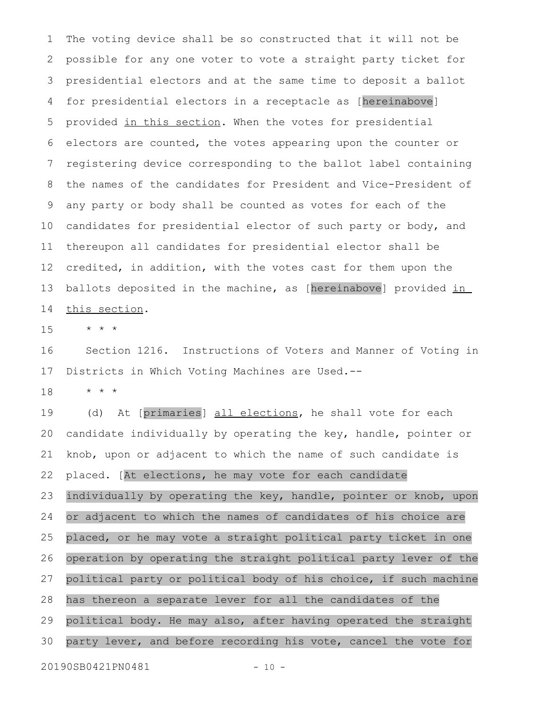The voting device shall be so constructed that it will not be possible for any one voter to vote a straight party ticket for presidential electors and at the same time to deposit a ballot for presidential electors in a receptacle as [hereinabove] provided in this section. When the votes for presidential electors are counted, the votes appearing upon the counter or registering device corresponding to the ballot label containing the names of the candidates for President and Vice-President of any party or body shall be counted as votes for each of the candidates for presidential elector of such party or body, and thereupon all candidates for presidential elector shall be credited, in addition, with the votes cast for them upon the ballots deposited in the machine, as [hereinabove] provided in this section. 1 2 3 4 5 6 7 8 9 10 11 12 13 14

\* \* \* 15

Section 1216. Instructions of Voters and Manner of Voting in Districts in Which Voting Machines are Used.-- 16 17

\* \* \* 18

(d) At [primaries] all elections, he shall vote for each candidate individually by operating the key, handle, pointer or knob, upon or adjacent to which the name of such candidate is placed. [At elections, he may vote for each candidate individually by operating the key, handle, pointer or knob, upon or adjacent to which the names of candidates of his choice are placed, or he may vote a straight political party ticket in one operation by operating the straight political party lever of the political party or political body of his choice, if such machine has thereon a separate lever for all the candidates of the political body. He may also, after having operated the straight party lever, and before recording his vote, cancel the vote for 20190SB0421PN0481 - 10 -19 20 21 22 23 24 25 26 27 28 29 30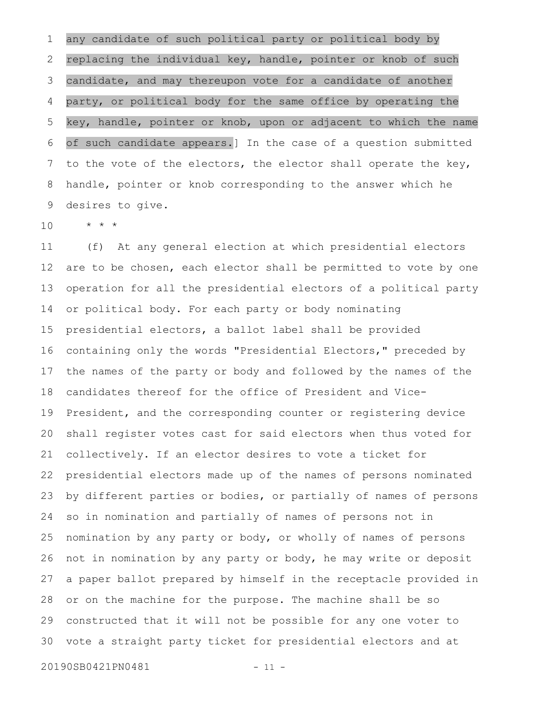any candidate of such political party or political body by replacing the individual key, handle, pointer or knob of such candidate, and may thereupon vote for a candidate of another party, or political body for the same office by operating the key, handle, pointer or knob, upon or adjacent to which the name of such candidate appears.] In the case of a question submitted to the vote of the electors, the elector shall operate the key, handle, pointer or knob corresponding to the answer which he desires to give. 1 2 3 4 5 6 7 8 9

 $\star$   $\hspace{0.1cm} \star$   $\hspace{0.1cm} \star$ 10

(f) At any general election at which presidential electors are to be chosen, each elector shall be permitted to vote by one operation for all the presidential electors of a political party or political body. For each party or body nominating presidential electors, a ballot label shall be provided containing only the words "Presidential Electors," preceded by the names of the party or body and followed by the names of the candidates thereof for the office of President and Vice-President, and the corresponding counter or registering device shall register votes cast for said electors when thus voted for collectively. If an elector desires to vote a ticket for presidential electors made up of the names of persons nominated by different parties or bodies, or partially of names of persons so in nomination and partially of names of persons not in nomination by any party or body, or wholly of names of persons not in nomination by any party or body, he may write or deposit a paper ballot prepared by himself in the receptacle provided in or on the machine for the purpose. The machine shall be so constructed that it will not be possible for any one voter to vote a straight party ticket for presidential electors and at 11 12 13 14 15 16 17 18 19 20 21 22 23 24 25 26 27 28 29 30

20190SB0421PN0481 - 11 -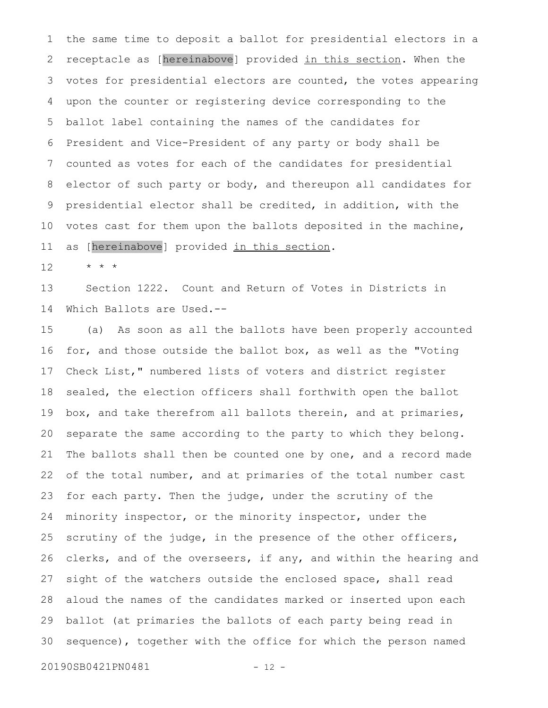the same time to deposit a ballot for presidential electors in a receptacle as [hereinabove] provided in this section. When the votes for presidential electors are counted, the votes appearing upon the counter or registering device corresponding to the ballot label containing the names of the candidates for President and Vice-President of any party or body shall be counted as votes for each of the candidates for presidential elector of such party or body, and thereupon all candidates for presidential elector shall be credited, in addition, with the votes cast for them upon the ballots deposited in the machine, as [hereinabove] provided in this section. 1 2 3 4 5 6 7 8 9 10 11

\* \* \* 12

Section 1222. Count and Return of Votes in Districts in Which Ballots are Used.-- 13 14

(a) As soon as all the ballots have been properly accounted for, and those outside the ballot box, as well as the "Voting Check List," numbered lists of voters and district register sealed, the election officers shall forthwith open the ballot box, and take therefrom all ballots therein, and at primaries, separate the same according to the party to which they belong. The ballots shall then be counted one by one, and a record made of the total number, and at primaries of the total number cast for each party. Then the judge, under the scrutiny of the minority inspector, or the minority inspector, under the scrutiny of the judge, in the presence of the other officers, clerks, and of the overseers, if any, and within the hearing and sight of the watchers outside the enclosed space, shall read aloud the names of the candidates marked or inserted upon each ballot (at primaries the ballots of each party being read in sequence), together with the office for which the person named 15 16 17 18 19 20 21 22 23 24 25 26 27 28 29 30

20190SB0421PN0481 - 12 -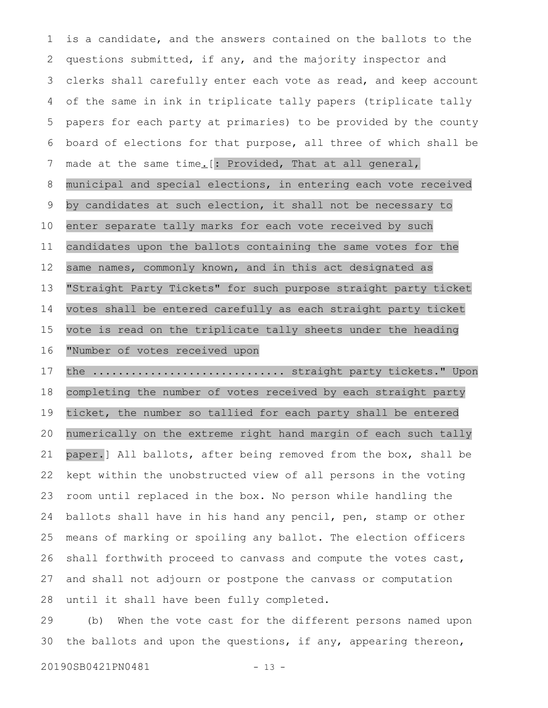is a candidate, and the answers contained on the ballots to the questions submitted, if any, and the majority inspector and clerks shall carefully enter each vote as read, and keep account of the same in ink in triplicate tally papers (triplicate tally papers for each party at primaries) to be provided by the county board of elections for that purpose, all three of which shall be made at the same time. [: Provided, That at all general, municipal and special elections, in entering each vote received by candidates at such election, it shall not be necessary to enter separate tally marks for each vote received by such candidates upon the ballots containing the same votes for the same names, commonly known, and in this act designated as "Straight Party Tickets" for such purpose straight party ticket votes shall be entered carefully as each straight party ticket vote is read on the triplicate tally sheets under the heading "Number of votes received upon the ................................ straight party tickets." Upon completing the number of votes received by each straight party 1 2 3 4 5 6 7 8 9 10 11 12 13 14 15 16 17 18

ticket, the number so tallied for each party shall be entered numerically on the extreme right hand margin of each such tally paper.] All ballots, after being removed from the box, shall be kept within the unobstructed view of all persons in the voting room until replaced in the box. No person while handling the ballots shall have in his hand any pencil, pen, stamp or other means of marking or spoiling any ballot. The election officers shall forthwith proceed to canvass and compute the votes cast, and shall not adjourn or postpone the canvass or computation until it shall have been fully completed. 19 20 21 22 23 24 25 26 27 28

(b) When the vote cast for the different persons named upon the ballots and upon the questions, if any, appearing thereon, 29 30

20190SB0421PN0481 - 13 -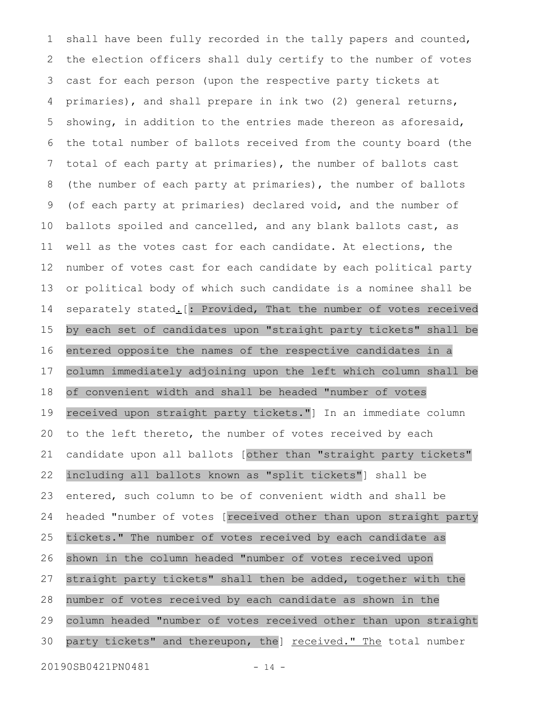shall have been fully recorded in the tally papers and counted, the election officers shall duly certify to the number of votes cast for each person (upon the respective party tickets at primaries), and shall prepare in ink two (2) general returns, showing, in addition to the entries made thereon as aforesaid, the total number of ballots received from the county board (the total of each party at primaries), the number of ballots cast (the number of each party at primaries), the number of ballots (of each party at primaries) declared void, and the number of ballots spoiled and cancelled, and any blank ballots cast, as well as the votes cast for each candidate. At elections, the number of votes cast for each candidate by each political party or political body of which such candidate is a nominee shall be separately stated. [: Provided, That the number of votes received by each set of candidates upon "straight party tickets" shall be entered opposite the names of the respective candidates in a column immediately adjoining upon the left which column shall be of convenient width and shall be headed "number of votes received upon straight party tickets."] In an immediate column to the left thereto, the number of votes received by each candidate upon all ballots [other than "straight party tickets" including all ballots known as "split tickets"] shall be entered, such column to be of convenient width and shall be headed "number of votes [received other than upon straight party tickets." The number of votes received by each candidate as shown in the column headed "number of votes received upon straight party tickets" shall then be added, together with the number of votes received by each candidate as shown in the column headed "number of votes received other than upon straight party tickets" and thereupon, the] received." The total number 20190SB0421PN0481 - 14 -1 2 3 4 5 6 7 8 9 10 11 12 13 14 15 16 17 18 19 20 21 22 23 24 25 26 27 28 29 30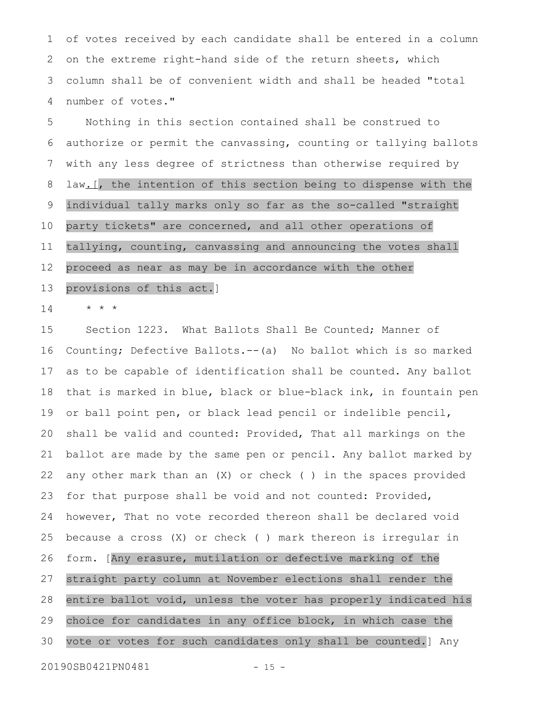of votes received by each candidate shall be entered in a column on the extreme right-hand side of the return sheets, which column shall be of convenient width and shall be headed "total number of votes." 1 2 3 4

Nothing in this section contained shall be construed to authorize or permit the canvassing, counting or tallying ballots with any less degree of strictness than otherwise required by law<sub>-1</sub>, the intention of this section being to dispense with the individual tally marks only so far as the so-called "straight party tickets" are concerned, and all other operations of tallying, counting, canvassing and announcing the votes shall proceed as near as may be in accordance with the other provisions of this act.] 5 6 7 8 9 10 11 12 13

\* \* \* 14

Section 1223. What Ballots Shall Be Counted; Manner of Counting; Defective Ballots.--(a) No ballot which is so marked as to be capable of identification shall be counted. Any ballot that is marked in blue, black or blue-black ink, in fountain pen or ball point pen, or black lead pencil or indelible pencil, shall be valid and counted: Provided, That all markings on the ballot are made by the same pen or pencil. Any ballot marked by any other mark than an  $(X)$  or check () in the spaces provided for that purpose shall be void and not counted: Provided, however, That no vote recorded thereon shall be declared void because a cross (X) or check ( ) mark thereon is irregular in form. [Any erasure, mutilation or defective marking of the straight party column at November elections shall render the entire ballot void, unless the voter has properly indicated his choice for candidates in any office block, in which case the vote or votes for such candidates only shall be counted.] Any 15 16 17 18 19 20 21 22 23 24 25 26 27 28 29 30

20190SB0421PN0481 - 15 -